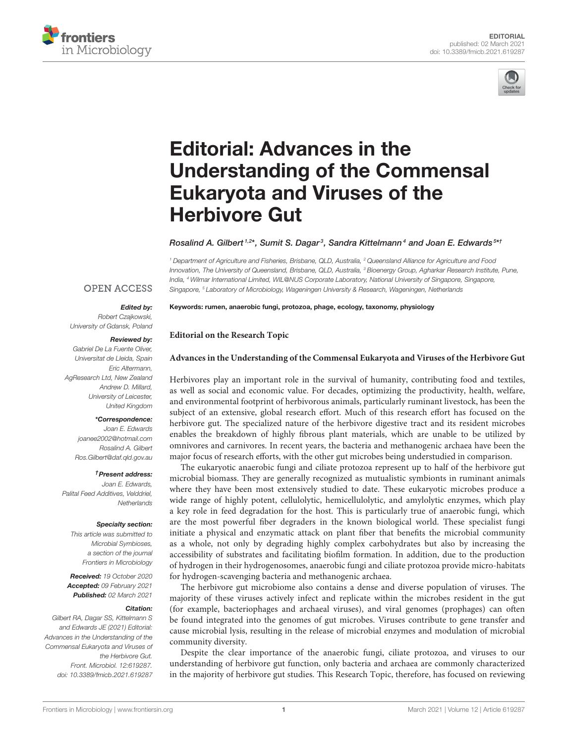



# Editorial: Advances in the [Understanding of the Commensal](https://www.frontiersin.org/articles/10.3389/fmicb.2021.619287/full) Eukaryota and Viruses of the Herbivore Gut

## Rosalind A. Gilbert <sup>1,2\*</sup>, Sumit S. Dagar<sup>3</sup>, Sandra Kittelmann<sup>4</sup> and Joan E. Edwards 5\*1

Keywords: rumen, anaerobic fungi, protozoa, phage, ecology, taxonomy, physiology

**Editorial on the Research Topic**

*<sup>1</sup> Department of Agriculture and Fisheries, Brisbane, QLD, Australia, <sup>2</sup> Queensland Alliance for Agriculture and Food Innovation, The University of Queensland, Brisbane, QLD, Australia, <sup>3</sup> Bioenergy Group, Agharkar Research Institute, Pune, India, <sup>4</sup> Wilmar International Limited, WIL@NUS Corporate Laboratory, National University of Singapore, Singapore, Singapore, <sup>5</sup> Laboratory of Microbiology, Wageningen University & Research, Wageningen, Netherlands*

## **OPEN ACCESS**

## Edited by:

*Robert Czajkowski, University of Gdansk, Poland*

#### Reviewed by:

*Gabriel De La Fuente Oliver, Universitat de Lleida, Spain Eric Altermann, AgResearch Ltd, New Zealand Andrew D. Millard, University of Leicester, United Kingdom*

### \*Correspondence:

*Joan E. Edwards [joanee2002@hotmail.com](mailto:joanee2002@hotmail.com) Rosalind A. Gilbert [Ros.Gilbert@daf.qld.gov.au](mailto:Ros.Gilbert@daf.qld.gov.au)*

#### †Present address:

*Joan E. Edwards, Palital Feed Additives, Velddriel, Netherlands*

## Specialty section:

*This article was submitted to Microbial Symbioses, a section of the journal Frontiers in Microbiology*

Received: *19 October 2020* Accepted: *09 February 2021* Published: *02 March 2021*

#### Citation:

*Gilbert RA, Dagar SS, Kittelmann S and Edwards JE (2021) Editorial: Advances in the Understanding of the Commensal Eukaryota and Viruses of the Herbivore Gut. Front. Microbiol. 12:619287. doi: [10.3389/fmicb.2021.619287](https://doi.org/10.3389/fmicb.2021.619287)*

**[Advances in the Understanding of the Commensal Eukaryota and Viruses](https://www.frontiersin.org/research-topics/9250/advances-in-the-understanding-of-the-commensal-eukaryota-and-viruses-of-the-herbivore-gut) of the Herbivore Gut**

Herbivores play an important role in the survival of humanity, contributing food and textiles, as well as social and economic value. For decades, optimizing the productivity, health, welfare, and environmental footprint of herbivorous animals, particularly ruminant livestock, has been the subject of an extensive, global research effort. Much of this research effort has focused on the herbivore gut. The specialized nature of the herbivore digestive tract and its resident microbes enables the breakdown of highly fibrous plant materials, which are unable to be utilized by omnivores and carnivores. In recent years, the bacteria and methanogenic archaea have been the major focus of research efforts, with the other gut microbes being understudied in comparison.

The eukaryotic anaerobic fungi and ciliate protozoa represent up to half of the herbivore gut microbial biomass. They are generally recognized as mutualistic symbionts in ruminant animals where they have been most extensively studied to date. These eukaryotic microbes produce a wide range of highly potent, cellulolytic, hemicellulolytic, and amylolytic enzymes, which play a key role in feed degradation for the host. This is particularly true of anaerobic fungi, which are the most powerful fiber degraders in the known biological world. These specialist fungi initiate a physical and enzymatic attack on plant fiber that benefits the microbial community as a whole, not only by degrading highly complex carbohydrates but also by increasing the accessibility of substrates and facilitating biofilm formation. In addition, due to the production of hydrogen in their hydrogenosomes, anaerobic fungi and ciliate protozoa provide micro-habitats for hydrogen-scavenging bacteria and methanogenic archaea.

The herbivore gut microbiome also contains a dense and diverse population of viruses. The majority of these viruses actively infect and replicate within the microbes resident in the gut (for example, bacteriophages and archaeal viruses), and viral genomes (prophages) can often be found integrated into the genomes of gut microbes. Viruses contribute to gene transfer and cause microbial lysis, resulting in the release of microbial enzymes and modulation of microbial community diversity.

Despite the clear importance of the anaerobic fungi, ciliate protozoa, and viruses to our understanding of herbivore gut function, only bacteria and archaea are commonly characterized in the majority of herbivore gut studies. This Research Topic, therefore, has focused on reviewing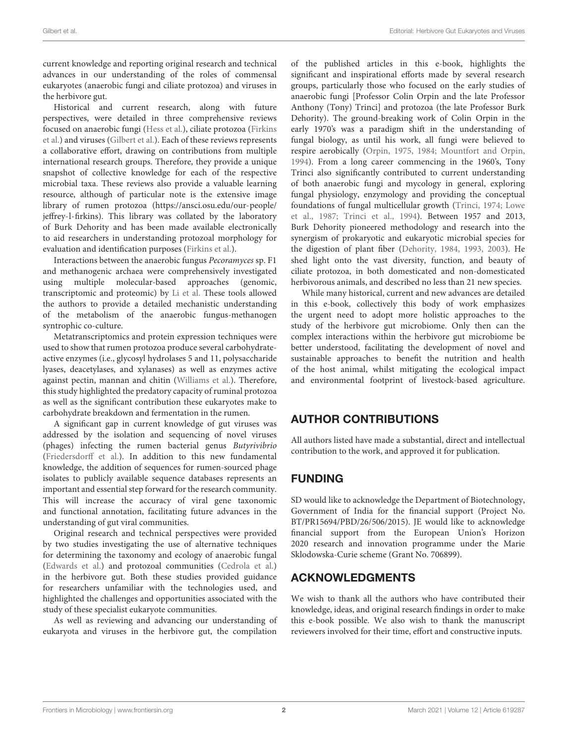current knowledge and reporting original research and technical advances in our understanding of the roles of commensal eukaryotes (anaerobic fungi and ciliate protozoa) and viruses in the herbivore gut.

Historical and current research, along with future perspectives, were detailed in three comprehensive reviews [focused on anaerobic fungi \(Hess et al.\), ciliate protozoa \(Firkins](https://doi.org/10.3389/fmicb.2020.00123) et al.) and viruses [\(Gilbert et al.\)](https://doi.org/10.3389/fmicb.2020.00450). Each of these reviews represents a collaborative effort, drawing on contributions from multiple international research groups. Therefore, they provide a unique snapshot of collective knowledge for each of the respective microbial taxa. These reviews also provide a valuable learning resource, although of particular note is the extensive image library of rumen protozoa [\(https://ansci.osu.edu/our-people/](https://ansci.osu.edu/our-people/jeffrey-l-firkins) [jeffrey-l-firkins\)](https://ansci.osu.edu/our-people/jeffrey-l-firkins). This library was collated by the laboratory of Burk Dehority and has been made available electronically to aid researchers in understanding protozoal morphology for evaluation and identification purposes [\(Firkins et al.\)](https://doi.org/10.3389/fmicb.2020.00123).

Interactions between the anaerobic fungus Pecoramyces sp. F1 and methanogenic archaea were comprehensively investigated using multiple molecular-based approaches (genomic, transcriptomic and proteomic) by [Li et al.](https://doi.org/10.3389/fmicb.2019.00435) These tools allowed the authors to provide a detailed mechanistic understanding of the metabolism of the anaerobic fungus-methanogen syntrophic co-culture.

Metatranscriptomics and protein expression techniques were used to show that rumen protozoa produce several carbohydrateactive enzymes (i.e., glycosyl hydrolases 5 and 11, polysaccharide lyases, deacetylases, and xylanases) as well as enzymes active against pectin, mannan and chitin [\(Williams et al.\)](https://doi.org/10.3389/fmicb.2020.00720). Therefore, this study highlighted the predatory capacity of ruminal protozoa as well as the significant contribution these eukaryotes make to carbohydrate breakdown and fermentation in the rumen.

A significant gap in current knowledge of gut viruses was addressed by the isolation and sequencing of novel viruses (phages) infecting the rumen bacterial genus Butyrivibrio [\(Friedersdorff et al.\)](https://doi.org/10.3389/fmicb.2020.01588). In addition to this new fundamental knowledge, the addition of sequences for rumen-sourced phage isolates to publicly available sequence databases represents an important and essential step forward for the research community. This will increase the accuracy of viral gene taxonomic and functional annotation, facilitating future advances in the understanding of gut viral communities.

Original research and technical perspectives were provided by two studies investigating the use of alternative techniques for determining the taxonomy and ecology of anaerobic fungal [\(Edwards et al.\)](https://doi.org/10.3389/fmicb.2019.02370) and protozoal communities [\(Cedrola et al.\)](https://doi.org/10.3389/fmicb.2019.02967) in the herbivore gut. Both these studies provided guidance for researchers unfamiliar with the technologies used, and highlighted the challenges and opportunities associated with the study of these specialist eukaryote communities.

As well as reviewing and advancing our understanding of eukaryota and viruses in the herbivore gut, the compilation of the published articles in this e-book, highlights the significant and inspirational efforts made by several research groups, particularly those who focused on the early studies of anaerobic fungi [Professor Colin Orpin and the late Professor Anthony (Tony) Trinci] and protozoa (the late Professor Burk Dehority). The ground-breaking work of Colin Orpin in the early 1970's was a paradigm shift in the understanding of fungal biology, as until his work, all fungi were believed to respire aerobically [\(Orpin, 1975,](#page-2-0) [1984;](#page-2-1) [Mountfort and Orpin,](#page-2-2) [1994\)](#page-2-2). From a long career commencing in the 1960's, Tony Trinci also significantly contributed to current understanding of both anaerobic fungi and mycology in general, exploring fungal physiology, enzymology and providing the conceptual foundations of fungal multicellular growth [\(Trinci, 1974;](#page-2-3) Lowe et al., [1987;](#page-2-4) [Trinci et al., 1994\)](#page-2-5). Between 1957 and 2013, Burk Dehority pioneered methodology and research into the synergism of prokaryotic and eukaryotic microbial species for the digestion of plant fiber [\(Dehority, 1984,](#page-2-6) [1993,](#page-2-7) [2003\)](#page-2-8). He shed light onto the vast diversity, function, and beauty of ciliate protozoa, in both domesticated and non-domesticated herbivorous animals, and described no less than 21 new species.

While many historical, current and new advances are detailed in this e-book, collectively this body of work emphasizes the urgent need to adopt more holistic approaches to the study of the herbivore gut microbiome. Only then can the complex interactions within the herbivore gut microbiome be better understood, facilitating the development of novel and sustainable approaches to benefit the nutrition and health of the host animal, whilst mitigating the ecological impact and environmental footprint of livestock-based agriculture.

# AUTHOR CONTRIBUTIONS

All authors listed have made a substantial, direct and intellectual contribution to the work, and approved it for publication.

# FUNDING

SD would like to acknowledge the Department of Biotechnology, Government of India for the financial support (Project No. BT/PR15694/PBD/26/506/2015). JE would like to acknowledge financial support from the European Union's Horizon 2020 research and innovation programme under the Marie Sklodowska-Curie scheme (Grant No. 706899).

# ACKNOWLEDGMENTS

We wish to thank all the authors who have contributed their knowledge, ideas, and original research findings in order to make this e-book possible. We also wish to thank the manuscript reviewers involved for their time, effort and constructive inputs.